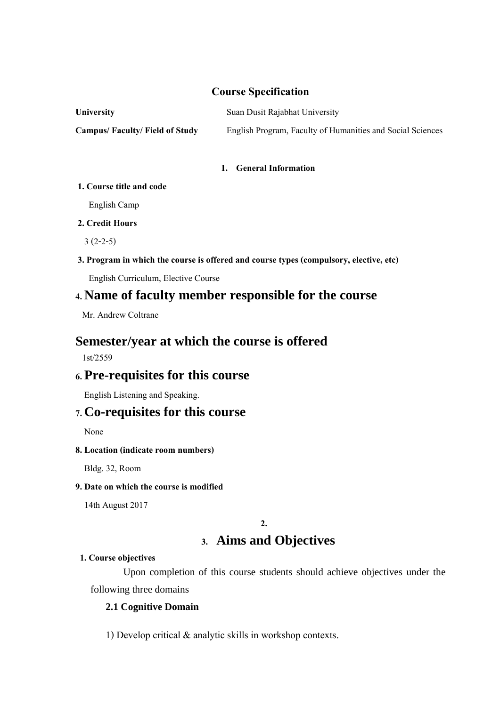## **Course Specification**

| <b>University</b>                    | Suan Dusit Rajabhat University                             |
|--------------------------------------|------------------------------------------------------------|
| <b>Campus/Faculty/Field of Study</b> | English Program, Faculty of Humanities and Social Sciences |

### **1. General Information**

### **1. Course title and code**

English Camp

## **2. Credit Hours**

3 (2-2-5)

## **3. Program in which the course is offered and course types (compulsory, elective, etc)**

English Curriculum, Elective Course

# **4. Name of faculty member responsible for the course**

Mr. Andrew Coltrane

# **Semester/year at which the course is offered**

1st/2559

# **6. Pre-requisites for this course**

English Listening and Speaking.

# **7. Co-requisites for this course**

None

## **8. Location(indicate room numbers)**

Bldg. 32, Room

## **9. Date on which the course is modified**

14th August 2017

**2.**

# **3. Aims and Objectives**

## **1. Course objectives**

 Upon completion of this course students should achieve objectives under the following three domains

## **2.1 Cognitive Domain**

1) Develop critical & analytic skills in workshop contexts.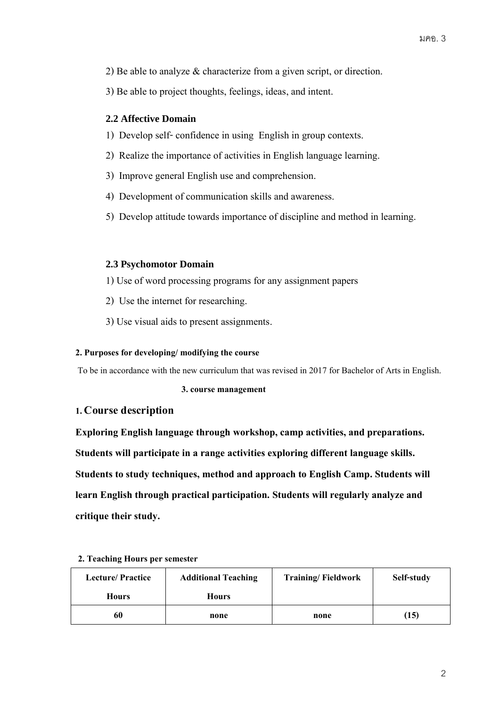- 2) Be able to analyze & characterize from a given script, or direction.
- 3) Be able to project thoughts, feelings, ideas, and intent.

## **2.2 Affective Domain**

- 1) Develop self- confidence in using English in group contexts.
- 2) Realize the importance of activities in English language learning.
- 3) Improve general English use and comprehension.
- 4) Development of communication skills and awareness.
- 5) Develop attitude towards importance of discipline and method in learning.

## **2.3 Psychomotor Domain**

- 1) Use of word processing programs for any assignment papers
- 2) Use the internet for researching.
- 3) Use visual aids to present assignments.

## **2. Purposes for developing/ modifying the course**

To be in accordance with the new curriculum that was revised in 2017 for Bachelor of Arts in English.

 **3. course management** 

## **1. Course description**

**Exploring English language through workshop, camp activities, and preparations. Students will participate in a range activities exploring different language skills. Students to study techniques, method and approach to English Camp. Students will learn English through practical participation. Students will regularly analyze and critique their study.** 

| <b>Lecture/Practice</b> | <b>Additional Teaching</b> | <b>Training/Fieldwork</b> | Self-study |
|-------------------------|----------------------------|---------------------------|------------|
| <b>Hours</b>            | <b>Hours</b>               |                           |            |
| 60                      | none                       | none                      | (15)       |

## **2. Teaching Hours per semester**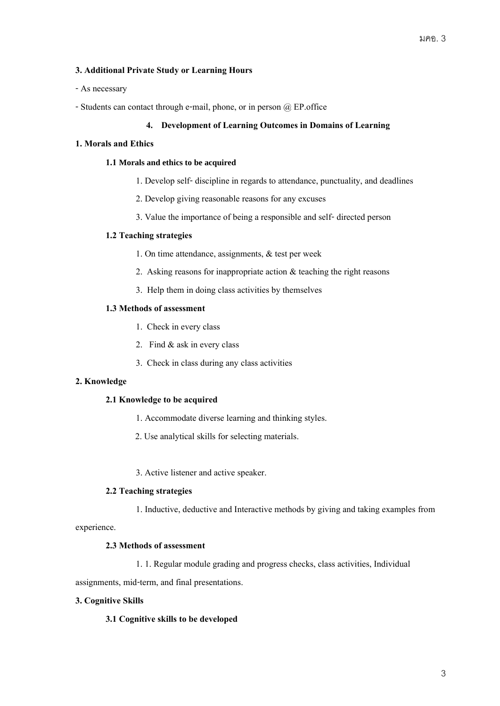## **3. Additional Private Study or Learning Hours**

- As necessary
- -Students can contact through e-mail, phone, or in person @ EP.office

### **4. Development of Learning Outcomes in Domains of Learning**

#### **1. Moralsand Ethics**

#### **1.1 Morals and ethics to be acquired**

- 1. Develop self-discipline in regards to attendance, punctuality, and deadlines
- 2. Develop giving reasonable reasons for any excuses
- 3. Value the importance of being a responsible and self- directed person

### **1.2 Teaching strategies**

- 1. On time attendance, assignments, & test per week
- 2. Asking reasons for inappropriate action & teaching the right reasons
- 3. Help them in doing class activities by themselves

### **1.3 Methods of assessment**

- 1. Check in every class
- 2. Find & ask in every class
- 3. Check in class during any class activities

### **2. Knowledge**

#### **2.1 Knowledge to be acquired**

- 1. Accommodate diverse learning and thinking styles.
- 2. Use analytical skills for selecting materials.
- 3. Active listener and active speaker.

#### **2.2 Teaching strategies**

1. Inductive, deductive and Interactive methods by giving and taking examples from

experience.

## **2.3 Methods of assessment**

1. 1. Regular module grading and progress checks, class activities, Individual

assignments, mid-term, and final presentations.

## **3. Cognitive Skills**

#### **3.1 Cognitive skills to be developed**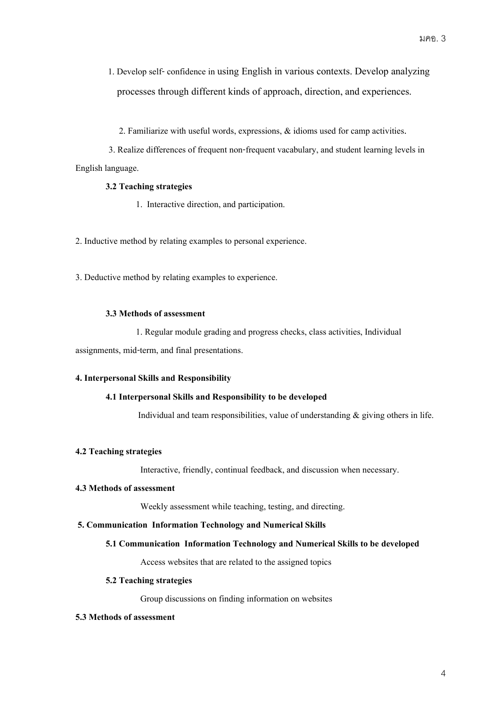- 1. Develop self- confidence in using English in various contexts. Develop analyzing processes through different kinds of approach, direction, and experiences.
	- 2. Familiarize with useful words, expressions, & idioms used for camp activities.

 3. Realize differences of frequent non-frequent vacabulary, and student learning levels in English language.

### **3.2 Teaching strategies**

- 1. Interactive direction, and participation.
- 2. Inductive method by relating examples to personal experience.
- 3. Deductive method by relating examples to experience.

#### **3.3 Methods of assessment**

1. Regular module grading and progress checks, class activities, Individual assignments, mid-term, and final presentations.

#### **4. Interpersonal Skills and Responsibility**

#### **4.1 Interpersonal Skills and Responsibility to be developed**

Individual and team responsibilities, value of understanding  $\&$  giving others in life.

## **4.2 Teaching strategies**

Interactive, friendly, continual feedback, and discussion when necessary.

#### **4.3 Methods of assessment**

Weekly assessment while teaching, testing, and directing.

#### **5. Communication Information Technology and Numerical Skills**

#### **5.1 Communication Information Technology and Numerical Skills to be developed**

Access websites that are related to the assigned topics

#### **5.2 Teaching strategies**

Group discussions on finding information on websites

#### **5.3 Methods of assessment**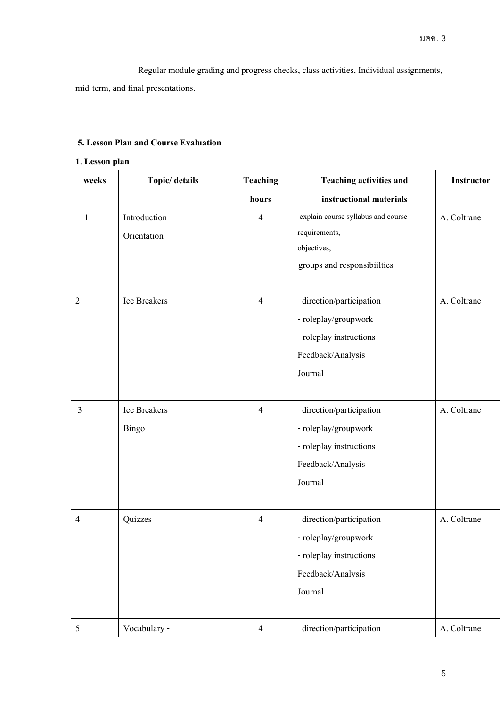Regular module grading and progress checks, class activities, Individual assignments,

mid-term, and final presentations.

## **5. Lesson Plan and Course Evaluation**

## **1**. **Lesson plan**

| weeks          | Topic/ details | <b>Teaching</b> | <b>Teaching activities and</b>     | Instructor  |
|----------------|----------------|-----------------|------------------------------------|-------------|
|                |                | hours           | instructional materials            |             |
| $\mathbf{1}$   | Introduction   | $\overline{4}$  | explain course syllabus and course | A. Coltrane |
|                | Orientation    |                 | requirements,                      |             |
|                |                |                 | objectives,                        |             |
|                |                |                 | groups and responsibiilties        |             |
| $\overline{2}$ | Ice Breakers   | $\overline{4}$  | direction/participation            | A. Coltrane |
|                |                |                 | - roleplay/groupwork               |             |
|                |                |                 | - roleplay instructions            |             |
|                |                |                 | Feedback/Analysis                  |             |
|                |                |                 | Journal                            |             |
|                |                |                 |                                    |             |
| $\mathfrak{Z}$ | Ice Breakers   | $\overline{4}$  | direction/participation            | A. Coltrane |
|                | <b>Bingo</b>   |                 | - roleplay/groupwork               |             |
|                |                |                 | - roleplay instructions            |             |
|                |                |                 | Feedback/Analysis                  |             |
|                |                |                 | Journal                            |             |
|                |                |                 |                                    |             |
| 4              | Quizzes        | $\overline{4}$  | direction/participation            | A. Coltrane |
|                |                |                 | - roleplay/groupwork               |             |
|                |                |                 | - roleplay instructions            |             |
|                |                |                 | Feedback/Analysis                  |             |
|                |                |                 | Journal                            |             |
|                |                |                 |                                    |             |
| 5              | Vocabulary -   | $\overline{4}$  | direction/participation            | A. Coltrane |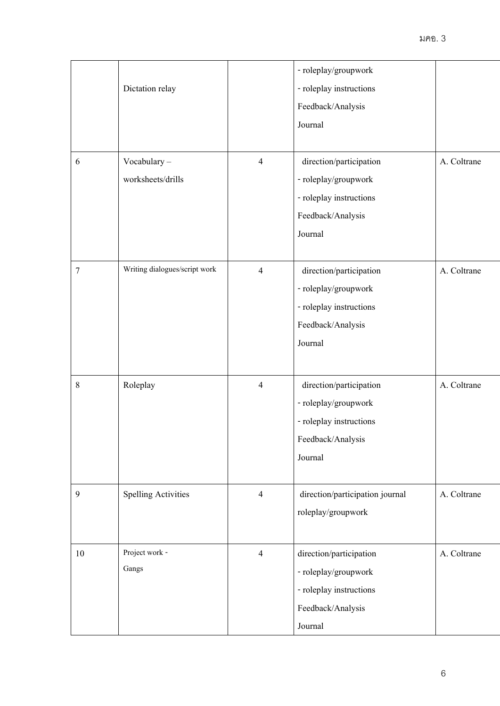|                  |                               |                | - roleplay/groupwork            |             |
|------------------|-------------------------------|----------------|---------------------------------|-------------|
|                  | Dictation relay               |                | - roleplay instructions         |             |
|                  |                               |                | Feedback/Analysis               |             |
|                  |                               |                | Journal                         |             |
|                  |                               |                |                                 |             |
| 6                | Vocabulary-                   | $\overline{4}$ | direction/participation         | A. Coltrane |
|                  | worksheets/drills             |                | - roleplay/groupwork            |             |
|                  |                               |                | - roleplay instructions         |             |
|                  |                               |                | Feedback/Analysis               |             |
|                  |                               |                | Journal                         |             |
| 7                | Writing dialogues/script work | $\overline{4}$ | direction/participation         | A. Coltrane |
|                  |                               |                | - roleplay/groupwork            |             |
|                  |                               |                | - roleplay instructions         |             |
|                  |                               |                | Feedback/Analysis               |             |
|                  |                               |                | Journal                         |             |
|                  |                               |                |                                 |             |
| $\,8\,$          | Roleplay                      | $\overline{4}$ | direction/participation         | A. Coltrane |
|                  |                               |                | - roleplay/groupwork            |             |
|                  |                               |                | - roleplay instructions         |             |
|                  |                               |                | Feedback/Analysis               |             |
|                  |                               |                | Journal                         |             |
| $\boldsymbol{9}$ | <b>Spelling Activities</b>    | $\overline{4}$ | direction/participation journal | A. Coltrane |
|                  |                               |                | roleplay/groupwork              |             |
|                  |                               |                |                                 |             |
| 10               | Project work -                | $\overline{4}$ | direction/participation         | A. Coltrane |
|                  | Gangs                         |                | - roleplay/groupwork            |             |
|                  |                               |                | - roleplay instructions         |             |
|                  |                               |                | Feedback/Analysis               |             |
|                  |                               |                | Journal                         |             |
|                  |                               |                |                                 |             |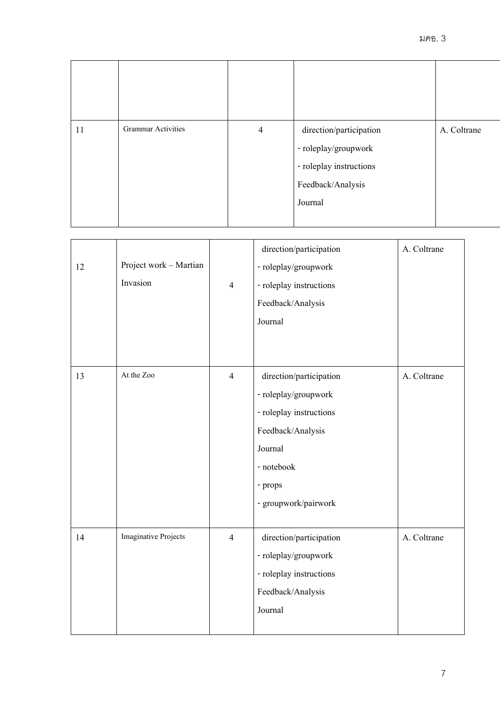| 11 | <b>Grammar Activities</b> | $\overline{4}$ | direction/participation<br>- roleplay/groupwork<br>- roleplay instructions<br>Feedback/Analysis<br>Journal | A. Coltrane |
|----|---------------------------|----------------|------------------------------------------------------------------------------------------------------------|-------------|

|    |                             |                | direction/participation | A. Coltrane |
|----|-----------------------------|----------------|-------------------------|-------------|
| 12 | Project work - Martian      |                | - roleplay/groupwork    |             |
|    | Invasion                    | $\overline{4}$ | - roleplay instructions |             |
|    |                             |                | Feedback/Analysis       |             |
|    |                             |                | Journal                 |             |
|    |                             |                |                         |             |
|    |                             |                |                         |             |
| 13 | At the Zoo                  | $\overline{4}$ | direction/participation | A. Coltrane |
|    |                             |                | - roleplay/groupwork    |             |
|    |                             |                | - roleplay instructions |             |
|    |                             |                | Feedback/Analysis       |             |
|    |                             |                | Journal                 |             |
|    |                             |                | - notebook              |             |
|    |                             |                | - props                 |             |
|    |                             |                | - groupwork/pairwork    |             |
|    |                             |                |                         |             |
| 14 | <b>Imaginative Projects</b> | $\overline{4}$ | direction/participation | A. Coltrane |
|    |                             |                | - roleplay/groupwork    |             |
|    |                             |                | - roleplay instructions |             |
|    |                             |                | Feedback/Analysis       |             |
|    |                             |                | Journal                 |             |
|    |                             |                |                         |             |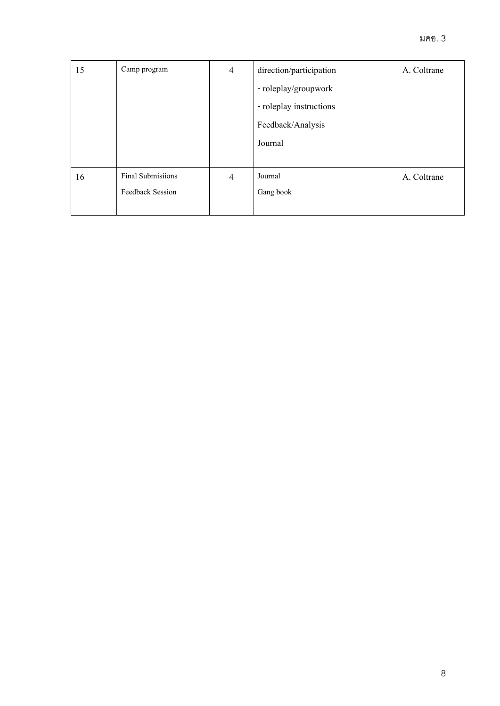| 15 | Camp program            | $\overline{4}$ | direction/participation | A. Coltrane |
|----|-------------------------|----------------|-------------------------|-------------|
|    |                         |                | - roleplay/groupwork    |             |
|    |                         |                | - roleplay instructions |             |
|    |                         |                | Feedback/Analysis       |             |
|    |                         |                | Journal                 |             |
|    |                         |                |                         |             |
| 16 | Final Submisiions       | $\overline{4}$ | Journal                 | A. Coltrane |
|    | <b>Feedback Session</b> |                | Gang book               |             |
|    |                         |                |                         |             |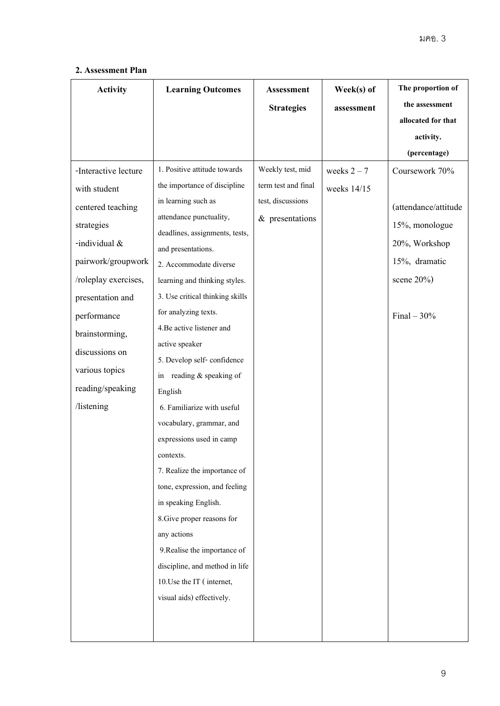## **2. Assessment Plan**

| <b>Activity</b>      | <b>Learning Outcomes</b>                     | Assessment          | Week(s) of    | The proportion of    |
|----------------------|----------------------------------------------|---------------------|---------------|----------------------|
|                      |                                              | <b>Strategies</b>   | assessment    | the assessment       |
|                      |                                              |                     |               | allocated for that   |
|                      |                                              |                     |               | activity.            |
|                      |                                              |                     |               | (percentage)         |
| -Interactive lecture | 1. Positive attitude towards                 | Weekly test, mid    | weeks $2 - 7$ | Coursework 70%       |
| with student         | the importance of discipline                 | term test and final | weeks 14/15   |                      |
| centered teaching    | in learning such as                          | test, discussions   |               | (attendance/attitude |
| strategies           | attendance punctuality,                      | $&$ presentations   |               | 15%, monologue       |
| -individual &        | deadlines, assignments, tests,               |                     |               | 20%, Workshop        |
| pairwork/groupwork   | and presentations.<br>2. Accommodate diverse |                     |               | 15%, dramatic        |
| /roleplay exercises, | learning and thinking styles.                |                     |               | scene $20\%$ )       |
| presentation and     | 3. Use critical thinking skills              |                     |               |                      |
| performance          | for analyzing texts.                         |                     |               | Final $-30%$         |
| brainstorming,       | 4. Be active listener and                    |                     |               |                      |
|                      | active speaker                               |                     |               |                      |
| discussions on       | 5. Develop self-confidence                   |                     |               |                      |
| various topics       | in reading $&$ speaking of                   |                     |               |                      |
| reading/speaking     | English                                      |                     |               |                      |
| /listening           | 6. Familiarize with useful                   |                     |               |                      |
|                      | vocabulary, grammar, and                     |                     |               |                      |
|                      | expressions used in camp                     |                     |               |                      |
|                      | contexts.                                    |                     |               |                      |
|                      | 7. Realize the importance of                 |                     |               |                      |
|                      | tone, expression, and feeling                |                     |               |                      |
|                      | in speaking English.                         |                     |               |                      |
|                      | 8. Give proper reasons for                   |                     |               |                      |
|                      | any actions                                  |                     |               |                      |
|                      | 9. Realise the importance of                 |                     |               |                      |
|                      | discipline, and method in life               |                     |               |                      |
|                      | 10. Use the IT (internet,                    |                     |               |                      |
|                      | visual aids) effectively.                    |                     |               |                      |
|                      |                                              |                     |               |                      |
|                      |                                              |                     |               |                      |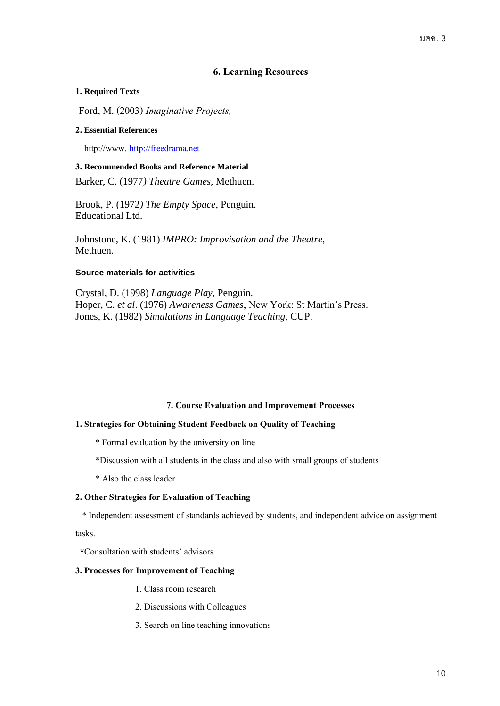## **6. Learning Resources**

### **1. Required Texts**

Ford, M. (2003) *Imaginative Projects,*

#### **2. Essential References**

http://www. [http://freedrama.net](http://freedrama.net/)

#### **3. Recommended Books and Reference Material**

Barker, C. (1977*) Theatre Games*, Methuen.

Brook, P. (1972*) The Empty Space*, Penguin. Educational Ltd.

Johnstone, K. (1981) *IMPRO: Improvisation and the Theatre,* Methuen.

## **Source materials for activities**

Crystal, D. (1998) *Language Play*, Penguin. Hoper, C. *et al*. (1976) *Awareness Games*, New York: St Martin's Press. Jones, K. (1982) *Simulations in Language Teaching*, CUP.

#### **7. Course Evaluation and Improvement Processes**

#### **1. Strategies for Obtaining Student Feedback on Quality of Teaching**

\* Formal evaluation by the university on line

\*Discussion with all students in the class and also with small groups of students

\* Also the class leader

#### **2. Other Strategies for Evaluation of Teaching**

\* Independent assessment of standards achieved by students, and independent advice on assignment

tasks.

 **\***Consultation with students' advisors

#### **3. Processes for Improvement of Teaching**

- 1. Class room research
- 2. Discussions with Colleagues
- 3.Search on line teaching innovations